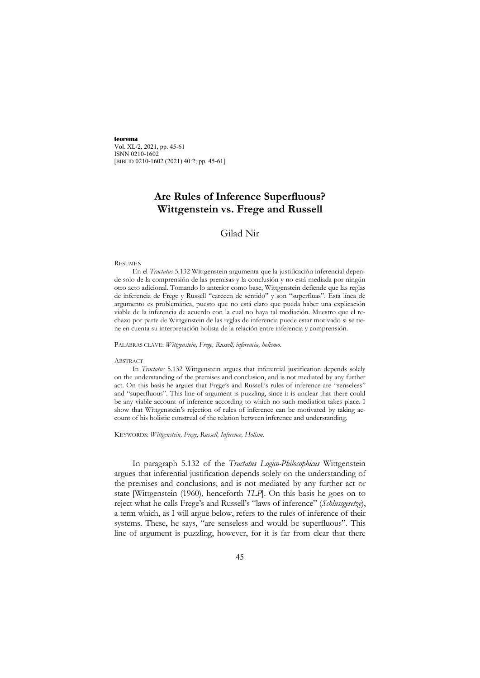**teorema** Vol. XL/2, 2021, pp. 45-61 ISNN 0210-1602 [BIBLID 0210-1602 (2021) 40:2; pp. 45-61]

# **Are Rules of Inference Superfluous? Wittgenstein vs. Frege and Russell**

## Gilad Nir

#### RESUMEN

En el *Tractatus* 5.132 Wittgenstein argumenta que la justificación inferencial depende solo de la comprensión de las premisas y la conclusión y no está mediada por ningún otro acto adicional. Tomando lo anterior como base, Wittgenstein defiende que las reglas de inferencia de Frege y Russell "carecen de sentido" y son "superfluas". Esta línea de argumento es problemática, puesto que no está claro que pueda haber una explicación viable de la inferencia de acuerdo con la cual no haya tal mediación. Muestro que el rechazo por parte de Wittgenstein de las reglas de inferencia puede estar motivado si se tiene en cuenta su interpretación holista de la relación entre inferencia y comprensión.

PALABRAS CLAVE: *Wittgenstein, Frege, Russell, inferencia, holismo*.

#### ABSTRACT

In *Tractatus* 5.132 Wittgenstein argues that inferential justification depends solely on the understanding of the premises and conclusion, and is not mediated by any further act. On this basis he argues that Frege's and Russell's rules of inference are "senseless" and "superfluous". This line of argument is puzzling, since it is unclear that there could be any viable account of inference according to which no such mediation takes place. I show that Wittgenstein's rejection of rules of inference can be motivated by taking account of his holistic construal of the relation between inference and understanding.

KEYWORDS: *Wittgenstein, Frege, Russell, Inference, Holism*.

In paragraph 5.132 of the *Tractatus Logico-Philosophicus* Wittgenstein argues that inferential justification depends solely on the understanding of the premises and conclusions, and is not mediated by any further act or state [Wittgenstein (1960), henceforth *TLP*]. On this basis he goes on to reject what he calls Frege's and Russell's "laws of inference" (*Schlussgesetze*), a term which, as I will argue below, refers to the rules of inference of their systems. These, he says, "are senseless and would be superfluous". This line of argument is puzzling, however, for it is far from clear that there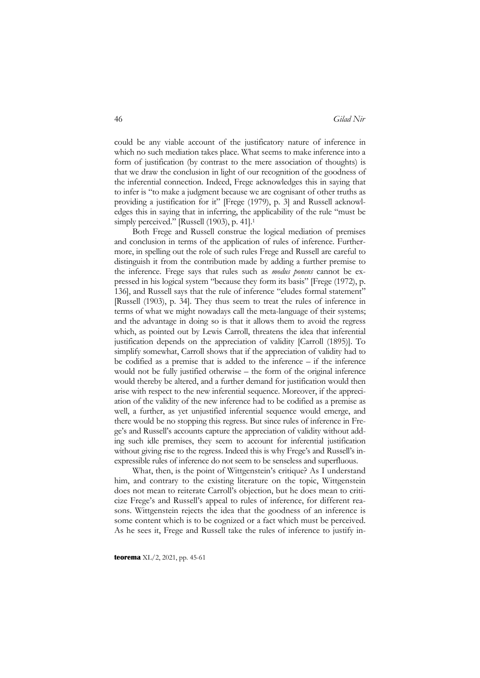could be any viable account of the justificatory nature of inference in which no such mediation takes place. What seems to make inference into a form of justification (by contrast to the mere association of thoughts) is that we draw the conclusion in light of our recognition of the goodness of the inferential connection. Indeed, Frege acknowledges this in saying that to infer is "to make a judgment because we are cognisant of other truths as providing a justification for it" [Frege (1979), p. 3] and Russell acknowledges this in saying that in inferring, the applicability of the rule "must be simply perceived." [Russell (1903), p. 41].<sup>1</sup>

Both Frege and Russell construe the logical mediation of premises and conclusion in terms of the application of rules of inference. Furthermore, in spelling out the role of such rules Frege and Russell are careful to distinguish it from the contribution made by adding a further premise to the inference. Frege says that rules such as *modus ponens* cannot be expressed in his logical system "because they form its basis" [Frege (1972), p. 136], and Russell says that the rule of inference "eludes formal statement" [Russell (1903), p. 34]. They thus seem to treat the rules of inference in terms of what we might nowadays call the meta-language of their systems; and the advantage in doing so is that it allows them to avoid the regress which, as pointed out by Lewis Carroll, threatens the idea that inferential justification depends on the appreciation of validity [Carroll (1895)]. To simplify somewhat, Carroll shows that if the appreciation of validity had to be codified as a premise that is added to the inference – if the inference would not be fully justified otherwise – the form of the original inference would thereby be altered, and a further demand for justification would then arise with respect to the new inferential sequence. Moreover, if the appreciation of the validity of the new inference had to be codified as a premise as well, a further, as yet unjustified inferential sequence would emerge, and there would be no stopping this regress. But since rules of inference in Frege's and Russell's accounts capture the appreciation of validity without adding such idle premises, they seem to account for inferential justification without giving rise to the regress. Indeed this is why Frege's and Russell's inexpressible rules of inference do not seem to be senseless and superfluous.

What, then, is the point of Wittgenstein's critique? As I understand him, and contrary to the existing literature on the topic, Wittgenstein does not mean to reiterate Carroll's objection, but he does mean to criticize Frege's and Russell's appeal to rules of inference, for different reasons. Wittgenstein rejects the idea that the goodness of an inference is some content which is to be cognized or a fact which must be perceived. As he sees it, Frege and Russell take the rules of inference to justify in-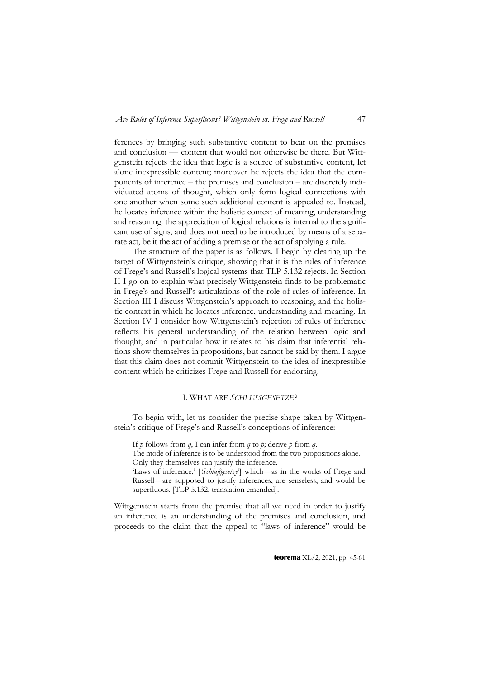ferences by bringing such substantive content to bear on the premises and conclusion — content that would not otherwise be there. But Wittgenstein rejects the idea that logic is a source of substantive content, let alone inexpressible content; moreover he rejects the idea that the components of inference – the premises and conclusion – are discretely individuated atoms of thought, which only form logical connections with one another when some such additional content is appealed to. Instead, he locates inference within the holistic context of meaning, understanding and reasoning: the appreciation of logical relations is internal to the significant use of signs, and does not need to be introduced by means of a separate act, be it the act of adding a premise or the act of applying a rule.

The structure of the paper is as follows. I begin by clearing up the target of Wittgenstein's critique, showing that it is the rules of inference of Frege's and Russell's logical systems that TLP 5.132 rejects. In Section II I go on to explain what precisely Wittgenstein finds to be problematic in Frege's and Russell's articulations of the role of rules of inference. In Section III I discuss Wittgenstein's approach to reasoning, and the holistic context in which he locates inference, understanding and meaning. In Section IV I consider how Wittgenstein's rejection of rules of inference reflects his general understanding of the relation between logic and thought, and in particular how it relates to his claim that inferential relations show themselves in propositions, but cannot be said by them. I argue that this claim does not commit Wittgenstein to the idea of inexpressible content which he criticizes Frege and Russell for endorsing.

### I. WHAT ARE *SCHLUSSGESETZE*?

To begin with, let us consider the precise shape taken by Wittgenstein's critique of Frege's and Russell's conceptions of inference:

If *p* follows from *q*, I can infer from *q* to *p*; derive *p* from *q*.

The mode of inference is to be understood from the two propositions alone. Only they themselves can justify the inference.

'Laws of inference,' ['Schlußgesetze'] which-as in the works of Frege and Russell—are supposed to justify inferences, are senseless, and would be superfluous. [TLP 5.132, translation emended].

Wittgenstein starts from the premise that all we need in order to justify an inference is an understanding of the premises and conclusion, and proceeds to the claim that the appeal to "laws of inference" would be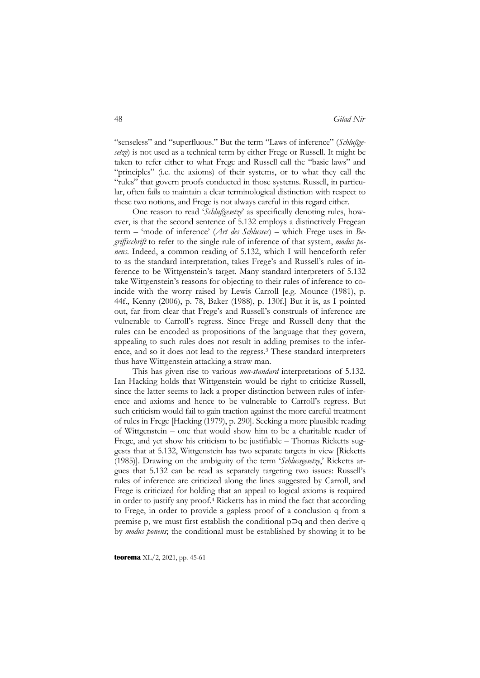"senseless" and "superfluous." But the term "Laws of inference" (*Schlußgesetze*) is not used as a technical term by either Frege or Russell. It might be taken to refer either to what Frege and Russell call the "basic laws" and "principles" (i.e. the axioms) of their systems, or to what they call the "rules" that govern proofs conducted in those systems. Russell, in particular, often fails to maintain a clear terminological distinction with respect to these two notions, and Frege is not always careful in this regard either.

One reason to read '*Schlußgesetze*' as specifically denoting rules, however, is that the second sentence of 5.132 employs a distinctively Fregean term – 'mode of inference' (*Art des Schlusses*) – which Frege uses in *Begriffsschrift* to refer to the single rule of inference of that system, *modus ponens*. Indeed, a common reading of 5.132, which I will henceforth refer to as the standard interpretation, takes Frege's and Russell's rules of inference to be Wittgenstein's target. Many standard interpreters of 5.132 take Wittgenstein's reasons for objecting to their rules of inference to coincide with the worry raised by Lewis Carroll [e.g. Mounce (1981), p. 44f., Kenny (2006), p. 78, Baker (1988), p. 130f.] But it is, as I pointed out, far from clear that Frege's and Russell's construals of inference are vulnerable to Carroll's regress. Since Frege and Russell deny that the rules can be encoded as propositions of the language that they govern, appealing to such rules does not result in adding premises to the inference, and so it does not lead to the regress.3 These standard interpreters thus have Wittgenstein attacking a straw man.

This has given rise to various *non-standard* interpretations of 5.132. Ian Hacking holds that Wittgenstein would be right to criticize Russell, since the latter seems to lack a proper distinction between rules of inference and axioms and hence to be vulnerable to Carroll's regress. But such criticism would fail to gain traction against the more careful treatment of rules in Frege [Hacking (1979), p. 290]. Seeking a more plausible reading of Wittgenstein – one that would show him to be a charitable reader of Frege, and yet show his criticism to be justifiable – Thomas Ricketts suggests that at 5.132, Wittgenstein has two separate targets in view [Ricketts (1985)]. Drawing on the ambiguity of the term '*Schlussgesetze*,' Ricketts argues that 5.132 can be read as separately targeting two issues: Russell's rules of inference are criticized along the lines suggested by Carroll, and Frege is criticized for holding that an appeal to logical axioms is required in order to justify any proof.4 Ricketts has in mind the fact that according to Frege, in order to provide a gapless proof of a conclusion q from a premise p, we must first establish the conditional p⊃q and then derive q by *modus ponens*; the conditional must be established by showing it to be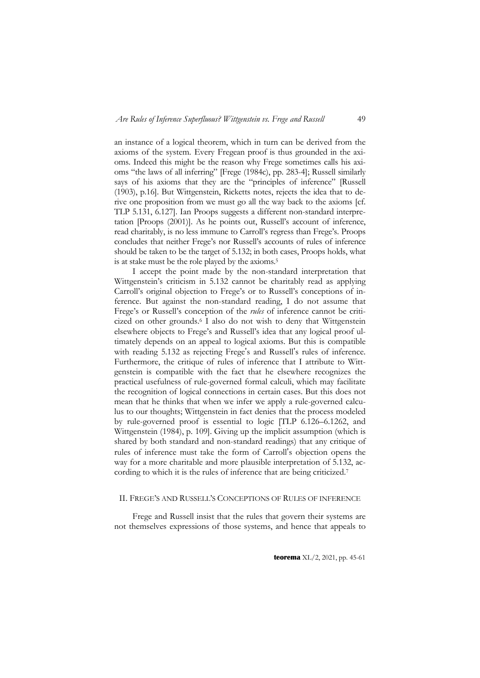an instance of a logical theorem, which in turn can be derived from the axioms of the system. Every Fregean proof is thus grounded in the axioms. Indeed this might be the reason why Frege sometimes calls his axioms "the laws of all inferring" [Frege (1984c), pp. 283-4]; Russell similarly says of his axioms that they are the "principles of inference" [Russell (1903), p.16]. But Wittgenstein, Ricketts notes, rejects the idea that to derive one proposition from we must go all the way back to the axioms [cf. TLP 5.131, 6.127]. Ian Proops suggests a different non-standard interpretation [Proops (2001)]. As he points out, Russell's account of inference, read charitably, is no less immune to Carroll's regress than Frege's. Proops concludes that neither Frege's nor Russell's accounts of rules of inference should be taken to be the target of 5.132; in both cases, Proops holds, what is at stake must be the role played by the axioms.5

I accept the point made by the non-standard interpretation that Wittgenstein's criticism in 5.132 cannot be charitably read as applying Carroll's original objection to Frege's or to Russell's conceptions of inference. But against the non-standard reading, I do not assume that Frege's or Russell's conception of the *rules* of inference cannot be criticized on other grounds.6 I also do not wish to deny that Wittgenstein elsewhere objects to Frege's and Russell's idea that any logical proof ultimately depends on an appeal to logical axioms. But this is compatible with reading 5.132 as rejecting Frege's and Russell's rules of inference. Furthermore, the critique of rules of inference that I attribute to Wittgenstein is compatible with the fact that he elsewhere recognizes the practical usefulness of rule-governed formal calculi, which may facilitate the recognition of logical connections in certain cases. But this does not mean that he thinks that when we infer we apply a rule-governed calculus to our thoughts; Wittgenstein in fact denies that the process modeled by rule-governed proof is essential to logic [TLP 6.126–6.1262, and Wittgenstein (1984), p. 109]. Giving up the implicit assumption (which is shared by both standard and non-standard readings) that any critique of rules of inference must take the form of Carroll's objection opens the way for a more charitable and more plausible interpretation of 5.132, according to which it is the rules of inference that are being criticized.<sup>7</sup>

### II. FREGE'S AND RUSSELL'S CONCEPTIONS OF RULES OF INFERENCE

Frege and Russell insist that the rules that govern their systems are not themselves expressions of those systems, and hence that appeals to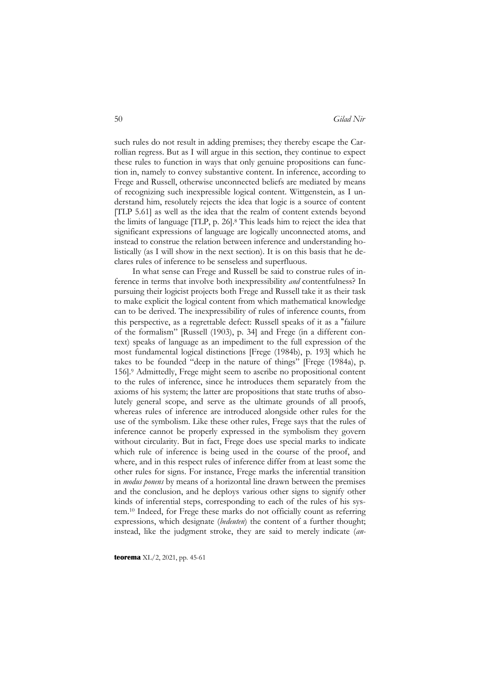such rules do not result in adding premises; they thereby escape the Carrollian regress. But as I will argue in this section, they continue to expect these rules to function in ways that only genuine propositions can function in, namely to convey substantive content. In inference, according to Frege and Russell, otherwise unconnected beliefs are mediated by means of recognizing such inexpressible logical content. Wittgenstein, as I understand him, resolutely rejects the idea that logic is a source of content [TLP 5.61] as well as the idea that the realm of content extends beyond the limits of language [TLP, p. 26].8 This leads him to reject the idea that significant expressions of language are logically unconnected atoms, and instead to construe the relation between inference and understanding holistically (as I will show in the next section). It is on this basis that he declares rules of inference to be senseless and superfluous.

In what sense can Frege and Russell be said to construe rules of inference in terms that involve both inexpressibility *and* contentfulness? In pursuing their logicist projects both Frege and Russell take it as their task to make explicit the logical content from which mathematical knowledge can to be derived. The inexpressibility of rules of inference counts, from this perspective, as a regrettable defect: Russell speaks of it as a "failure of the formalism" [Russell (1903), p. 34] and Frege (in a different context) speaks of language as an impediment to the full expression of the most fundamental logical distinctions [Frege (1984b), p. 193] which he takes to be founded "deep in the nature of things" [Frege (1984a), p. 156].9 Admittedly, Frege might seem to ascribe no propositional content to the rules of inference, since he introduces them separately from the axioms of his system; the latter are propositions that state truths of absolutely general scope, and serve as the ultimate grounds of all proofs, whereas rules of inference are introduced alongside other rules for the use of the symbolism. Like these other rules, Frege says that the rules of inference cannot be properly expressed in the symbolism they govern without circularity. But in fact, Frege does use special marks to indicate which rule of inference is being used in the course of the proof, and where, and in this respect rules of inference differ from at least some the other rules for signs. For instance, Frege marks the inferential transition in *modus ponens* by means of a horizontal line drawn between the premises and the conclusion, and he deploys various other signs to signify other kinds of inferential steps, corresponding to each of the rules of his system.10 Indeed, for Frege these marks do not officially count as referring expressions, which designate (*bedeuten*) the content of a further thought; instead, like the judgment stroke, they are said to merely indicate (*an-*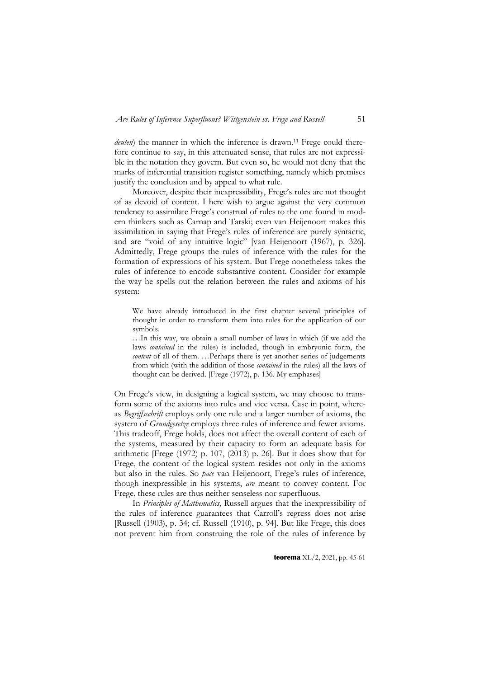*deuten*) the manner in which the inference is drawn.<sup>11</sup> Frege could therefore continue to say, in this attenuated sense, that rules are not expressible in the notation they govern. But even so, he would not deny that the marks of inferential transition register something, namely which premises justify the conclusion and by appeal to what rule.

Moreover, despite their inexpressibility, Frege's rules are not thought of as devoid of content. I here wish to argue against the very common tendency to assimilate Frege's construal of rules to the one found in modern thinkers such as Carnap and Tarski; even van Heijenoort makes this assimilation in saying that Frege's rules of inference are purely syntactic, and are "void of any intuitive logic" [van Heijenoort (1967), p. 326]. Admittedly, Frege groups the rules of inference with the rules for the formation of expressions of his system. But Frege nonetheless takes the rules of inference to encode substantive content. Consider for example the way he spells out the relation between the rules and axioms of his system:

We have already introduced in the first chapter several principles of thought in order to transform them into rules for the application of our symbols.

…In this way, we obtain a small number of laws in which (if we add the laws *contained* in the rules) is included, though in embryonic form, the *content* of all of them. …Perhaps there is yet another series of judgements from which (with the addition of those *contained* in the rules) all the laws of thought can be derived. [Frege (1972), p. 136. My emphases]

On Frege's view, in designing a logical system, we may choose to transform some of the axioms into rules and vice versa. Case in point, whereas *Begriffsschrift* employs only one rule and a larger number of axioms, the system of *Grundgesetze* employs three rules of inference and fewer axioms. This tradeoff, Frege holds, does not affect the overall content of each of the systems, measured by their capacity to form an adequate basis for arithmetic [Frege (1972) p. 107, (2013) p. 26]. But it does show that for Frege, the content of the logical system resides not only in the axioms but also in the rules. So *pace* van Heijenoort, Frege's rules of inference, though inexpressible in his systems, *are* meant to convey content. For Frege, these rules are thus neither senseless nor superfluous.

In *Principles of Mathematics*, Russell argues that the inexpressibility of the rules of inference guarantees that Carroll's regress does not arise [Russell (1903), p. 34; cf. Russell (1910), p. 94]. But like Frege, this does not prevent him from construing the role of the rules of inference by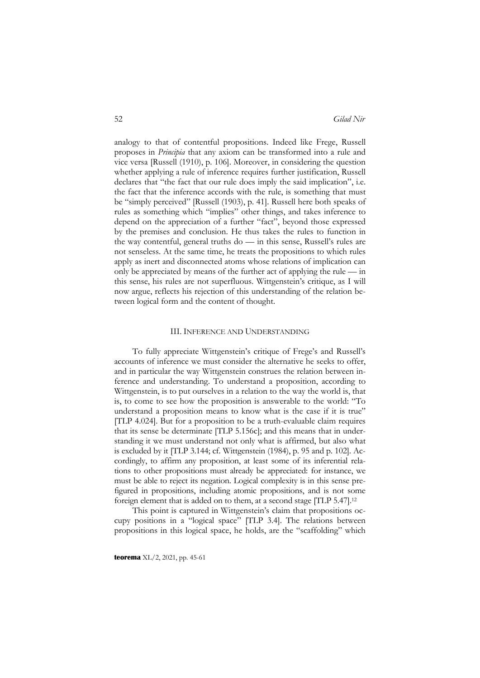analogy to that of contentful propositions. Indeed like Frege, Russell proposes in *Principia* that any axiom can be transformed into a rule and vice versa [Russell (1910), p. 106]. Moreover, in considering the question whether applying a rule of inference requires further justification, Russell declares that "the fact that our rule does imply the said implication", i.e. the fact that the inference accords with the rule, is something that must be "simply perceived" [Russell (1903), p. 41]. Russell here both speaks of rules as something which "implies" other things, and takes inference to depend on the appreciation of a further "fact", beyond those expressed by the premises and conclusion. He thus takes the rules to function in the way contentful, general truths do — in this sense, Russell's rules are not senseless. At the same time, he treats the propositions to which rules apply as inert and disconnected atoms whose relations of implication can only be appreciated by means of the further act of applying the rule — in this sense, his rules are not superfluous. Wittgenstein's critique, as I will now argue, reflects his rejection of this understanding of the relation between logical form and the content of thought.

#### III. INFERENCE AND UNDERSTANDING

To fully appreciate Wittgenstein's critique of Frege's and Russell's accounts of inference we must consider the alternative he seeks to offer, and in particular the way Wittgenstein construes the relation between inference and understanding. To understand a proposition, according to Wittgenstein, is to put ourselves in a relation to the way the world is, that is, to come to see how the proposition is answerable to the world: "To understand a proposition means to know what is the case if it is true" [TLP 4.024]. But for a proposition to be a truth-evaluable claim requires that its sense be determinate [TLP 5.156c]; and this means that in understanding it we must understand not only what is affirmed, but also what is excluded by it [TLP 3.144; cf. Wittgenstein (1984), p. 95 and p. 102]. Accordingly, to affirm any proposition, at least some of its inferential relations to other propositions must already be appreciated: for instance, we must be able to reject its negation. Logical complexity is in this sense prefigured in propositions, including atomic propositions, and is not some foreign element that is added on to them, at a second stage [TLP 5.47].12

This point is captured in Wittgenstein's claim that propositions occupy positions in a "logical space" [TLP 3.4]. The relations between propositions in this logical space, he holds, are the "scaffolding" which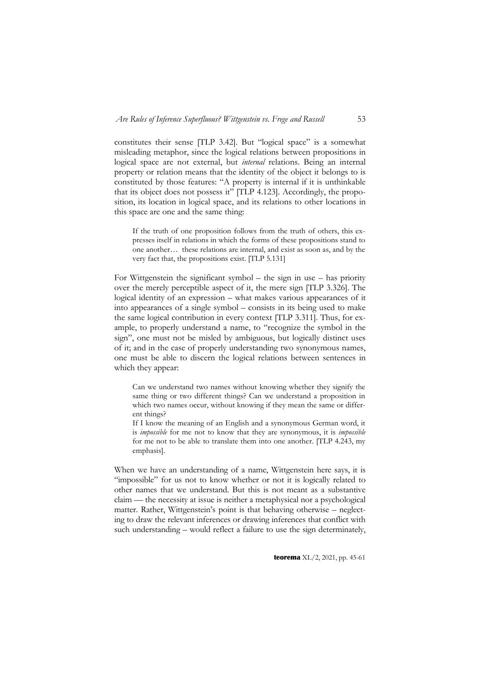constitutes their sense [TLP 3.42]. But "logical space" is a somewhat misleading metaphor, since the logical relations between propositions in logical space are not external, but *internal* relations. Being an internal property or relation means that the identity of the object it belongs to is constituted by those features: "A property is internal if it is unthinkable that its object does not possess it"  $[TLP 4.123]$ . Accordingly, the proposition, its location in logical space, and its relations to other locations in this space are one and the same thing:

If the truth of one proposition follows from the truth of others, this expresses itself in relations in which the forms of these propositions stand to one another… these relations are internal, and exist as soon as, and by the very fact that, the propositions exist. [TLP 5.131]

For Wittgenstein the significant symbol – the sign in use – has priority over the merely perceptible aspect of it, the mere sign [TLP 3.326]. The logical identity of an expression – what makes various appearances of it into appearances of a single symbol – consists in its being used to make the same logical contribution in every context [TLP 3.311]. Thus, for example, to properly understand a name, to "recognize the symbol in the sign", one must not be misled by ambiguous, but logically distinct uses of it; and in the case of properly understanding two synonymous names, one must be able to discern the logical relations between sentences in which they appear:

Can we understand two names without knowing whether they signify the same thing or two different things? Can we understand a proposition in which two names occur, without knowing if they mean the same or different things?

If I know the meaning of an English and a synonymous German word, it is *impossible* for me not to know that they are synonymous, it is *impossible* for me not to be able to translate them into one another. [TLP 4.243, my emphasis].

When we have an understanding of a name, Wittgenstein here says, it is "impossible" for us not to know whether or not it is logically related to other names that we understand. But this is not meant as a substantive claim — the necessity at issue is neither a metaphysical nor a psychological matter. Rather, Wittgenstein's point is that behaving otherwise – neglecting to draw the relevant inferences or drawing inferences that conflict with such understanding – would reflect a failure to use the sign determinately,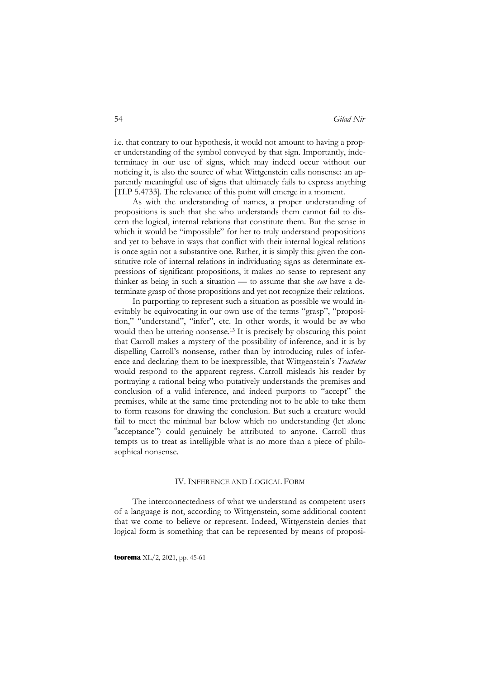i.e. that contrary to our hypothesis, it would not amount to having a proper understanding of the symbol conveyed by that sign. Importantly, indeterminacy in our use of signs, which may indeed occur without our noticing it, is also the source of what Wittgenstein calls nonsense: an apparently meaningful use of signs that ultimately fails to express anything [TLP 5.4733]. The relevance of this point will emerge in a moment.

As with the understanding of names, a proper understanding of propositions is such that she who understands them cannot fail to discern the logical, internal relations that constitute them. But the sense in which it would be "impossible" for her to truly understand propositions and yet to behave in ways that conflict with their internal logical relations is once again not a substantive one. Rather, it is simply this: given the constitutive role of internal relations in individuating signs as determinate expressions of significant propositions, it makes no sense to represent any thinker as being in such a situation — to assume that she *can* have a determinate grasp of those propositions and yet not recognize their relations.

In purporting to represent such a situation as possible we would inevitably be equivocating in our own use of the terms "grasp", "proposition," "understand", "infer", etc. In other words, it would be *we* who would then be uttering nonsense.<sup>13</sup> It is precisely by obscuring this point that Carroll makes a mystery of the possibility of inference, and it is by dispelling Carroll's nonsense, rather than by introducing rules of inference and declaring them to be inexpressible, that Wittgenstein's *Tractatus* would respond to the apparent regress. Carroll misleads his reader by portraying a rational being who putatively understands the premises and conclusion of a valid inference, and indeed purports to "accept" the premises, while at the same time pretending not to be able to take them to form reasons for drawing the conclusion. But such a creature would fail to meet the minimal bar below which no understanding (let alone "acceptance") could genuinely be attributed to anyone. Carroll thus tempts us to treat as intelligible what is no more than a piece of philosophical nonsense.

#### IV. INFERENCE AND LOGICAL FORM

The interconnectedness of what we understand as competent users of a language is not, according to Wittgenstein, some additional content that we come to believe or represent. Indeed, Wittgenstein denies that logical form is something that can be represented by means of proposi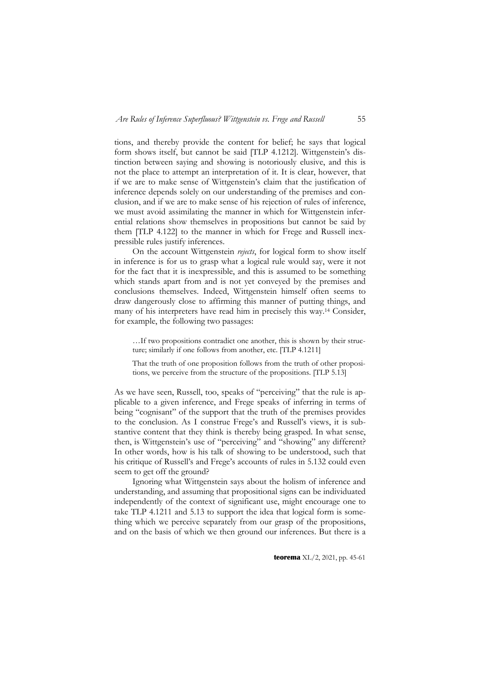tions, and thereby provide the content for belief; he says that logical form shows itself, but cannot be said [TLP 4.1212]. Wittgenstein's distinction between saying and showing is notoriously elusive, and this is not the place to attempt an interpretation of it. It is clear, however, that if we are to make sense of Wittgenstein's claim that the justification of inference depends solely on our understanding of the premises and conclusion, and if we are to make sense of his rejection of rules of inference, we must avoid assimilating the manner in which for Wittgenstein inferential relations show themselves in propositions but cannot be said by them [TLP 4.122] to the manner in which for Frege and Russell inexpressible rules justify inferences.

On the account Wittgenstein *rejects*, for logical form to show itself in inference is for us to grasp what a logical rule would say, were it not for the fact that it is inexpressible, and this is assumed to be something which stands apart from and is not yet conveyed by the premises and conclusions themselves. Indeed, Wittgenstein himself often seems to draw dangerously close to affirming this manner of putting things, and many of his interpreters have read him in precisely this way.14 Consider, for example, the following two passages:

…If two propositions contradict one another, this is shown by their structure; similarly if one follows from another, etc. [TLP 4.1211]

That the truth of one proposition follows from the truth of other propositions, we perceive from the structure of the propositions. [TLP 5.13]

As we have seen, Russell, too, speaks of "perceiving" that the rule is applicable to a given inference, and Frege speaks of inferring in terms of being "cognisant" of the support that the truth of the premises provides to the conclusion. As I construe Frege's and Russell's views, it is substantive content that they think is thereby being grasped. In what sense, then, is Wittgenstein's use of "perceiving" and "showing" any different? In other words, how is his talk of showing to be understood, such that his critique of Russell's and Frege's accounts of rules in 5.132 could even seem to get off the ground?

Ignoring what Wittgenstein says about the holism of inference and understanding, and assuming that propositional signs can be individuated independently of the context of significant use, might encourage one to take TLP 4.1211 and 5.13 to support the idea that logical form is something which we perceive separately from our grasp of the propositions, and on the basis of which we then ground our inferences. But there is a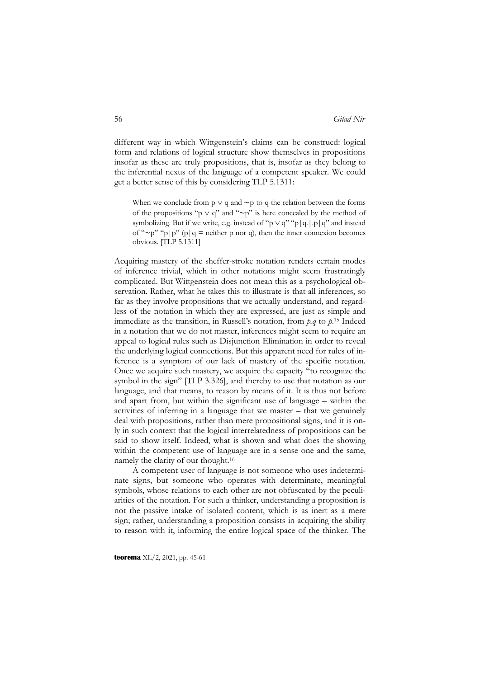different way in which Wittgenstein's claims can be construed: logical form and relations of logical structure show themselves in propositions insofar as these are truly propositions, that is, insofar as they belong to the inferential nexus of the language of a competent speaker. We could get a better sense of this by considering TLP 5.1311:

When we conclude from  $p \vee q$  and ∼p to q the relation between the forms of the propositions "p  $\vee$  q" and "∼p" is here concealed by the method of symbolizing. But if we write, e.g. instead of "p  $\vee$  q" "p|q.|.p|q" and instead of "∼p" "p|p" (p|q = neither p nor q), then the inner connexion becomes obvious. [TLP 5.1311]

Acquiring mastery of the sheffer-stroke notation renders certain modes of inference trivial, which in other notations might seem frustratingly complicated. But Wittgenstein does not mean this as a psychological observation. Rather, what he takes this to illustrate is that all inferences, so far as they involve propositions that we actually understand, and regardless of the notation in which they are expressed, are just as simple and immediate as the transition, in Russell's notation, from *p.q* to *p*. <sup>15</sup> Indeed in a notation that we do not master, inferences might seem to require an appeal to logical rules such as Disjunction Elimination in order to reveal the underlying logical connections. But this apparent need for rules of inference is a symptom of our lack of mastery of the specific notation. Once we acquire such mastery, we acquire the capacity "to recognize the symbol in the sign" [TLP 3.326], and thereby to use that notation as our language, and that means, to reason by means of it. It is thus not before and apart from, but within the significant use of language – within the activities of inferring in a language that we master – that we genuinely deal with propositions, rather than mere propositional signs, and it is only in such context that the logical interrelatedness of propositions can be said to show itself. Indeed, what is shown and what does the showing within the competent use of language are in a sense one and the same, namely the clarity of our thought.16

A competent user of language is not someone who uses indeterminate signs, but someone who operates with determinate, meaningful symbols, whose relations to each other are not obfuscated by the peculiarities of the notation. For such a thinker, understanding a proposition is not the passive intake of isolated content, which is as inert as a mere sign; rather, understanding a proposition consists in acquiring the ability to reason with it, informing the entire logical space of the thinker. The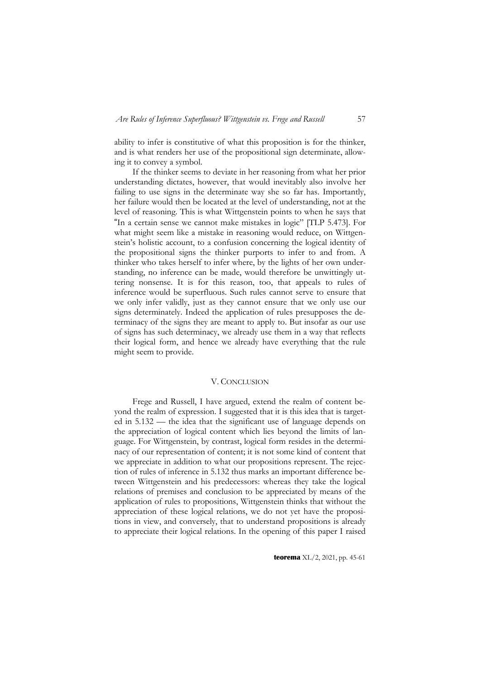ability to infer is constitutive of what this proposition is for the thinker, and is what renders her use of the propositional sign determinate, allowing it to convey a symbol.

If the thinker seems to deviate in her reasoning from what her prior understanding dictates, however, that would inevitably also involve her failing to use signs in the determinate way she so far has. Importantly, her failure would then be located at the level of understanding, not at the level of reasoning. This is what Wittgenstein points to when he says that "In a certain sense we cannot make mistakes in logic" [TLP 5.473]. For what might seem like a mistake in reasoning would reduce, on Wittgenstein's holistic account, to a confusion concerning the logical identity of the propositional signs the thinker purports to infer to and from. A thinker who takes herself to infer where, by the lights of her own understanding, no inference can be made, would therefore be unwittingly uttering nonsense. It is for this reason, too, that appeals to rules of inference would be superfluous. Such rules cannot serve to ensure that we only infer validly, just as they cannot ensure that we only use our signs determinately. Indeed the application of rules presupposes the determinacy of the signs they are meant to apply to. But insofar as our use of signs has such determinacy, we already use them in a way that reflects their logical form, and hence we already have everything that the rule might seem to provide.

### V. CONCLUSION

Frege and Russell, I have argued, extend the realm of content beyond the realm of expression. I suggested that it is this idea that is targeted in 5.132 — the idea that the significant use of language depends on the appreciation of logical content which lies beyond the limits of language. For Wittgenstein, by contrast, logical form resides in the determinacy of our representation of content; it is not some kind of content that we appreciate in addition to what our propositions represent. The rejection of rules of inference in 5.132 thus marks an important difference between Wittgenstein and his predecessors: whereas they take the logical relations of premises and conclusion to be appreciated by means of the application of rules to propositions, Wittgenstein thinks that without the appreciation of these logical relations, we do not yet have the propositions in view, and conversely, that to understand propositions is already to appreciate their logical relations. In the opening of this paper I raised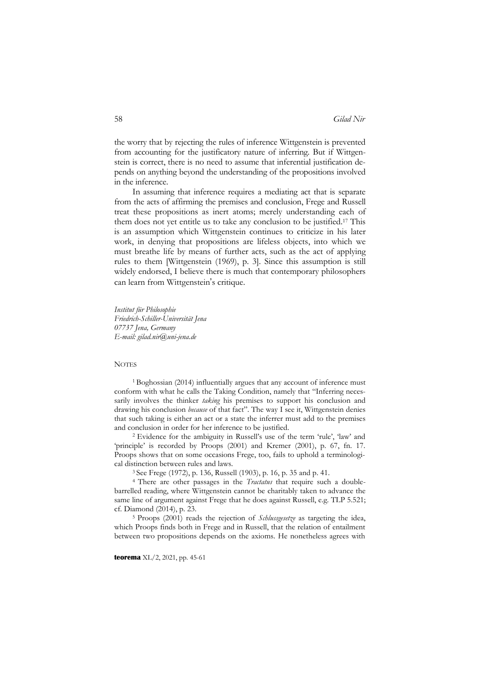the worry that by rejecting the rules of inference Wittgenstein is prevented from accounting for the justificatory nature of inferring. But if Wittgenstein is correct, there is no need to assume that inferential justification depends on anything beyond the understanding of the propositions involved in the inference.

In assuming that inference requires a mediating act that is separate from the acts of affirming the premises and conclusion, Frege and Russell treat these propositions as inert atoms; merely understanding each of them does not yet entitle us to take any conclusion to be justified.17 This is an assumption which Wittgenstein continues to criticize in his later work, in denying that propositions are lifeless objects, into which we must breathe life by means of further acts, such as the act of applying rules to them [Wittgenstein (1969), p. 3]. Since this assumption is still widely endorsed, I believe there is much that contemporary philosophers can learn from Wittgenstein 's critique.

*Institut für Philosophie Friedrich-Schiller-Universität Jena 07737 Jena, Germany [E-mail: gilad.nir@uni-jena.de](mailto:gilad.nir@uni-jena.de)*

#### **NOTES**

<sup>1</sup> Boghossian (2014) influentially argues that any account of inference must conform with what he calls the Taking Condition, namely that "Inferring necessarily involves the thinker *taking* his premises to support his conclusion and drawing his conclusion *because* of that fact". The way I see it, Wittgenstein denies that such taking is either an act or a state the inferrer must add to the premises and conclusion in order for her inference to be justified.

<sup>2</sup>Evidence for the ambiguity in Russell's use of the term 'rule', 'law' and 'principle' is recorded by Proops (2001) and Kremer (2001), p. 67, fn. 17. Proops shows that on some occasions Frege, too, fails to uphold a terminological distinction between rules and laws.

3 See Frege (1972), p. 136, Russell (1903), p. 16, p. 35 and p. 41.

<sup>4</sup> There are other passages in the *Tractatus* that require such a doublebarrelled reading, where Wittgenstein cannot be charitably taken to advance the same line of argument against Frege that he does against Russell, e.g. TLP 5.521; cf. Diamond (2014), p. 23.

<sup>5</sup> Proops (2001) reads the rejection of *Schlussgesetze* as targeting the idea, which Proops finds both in Frege and in Russell, that the relation of entailment between two propositions depends on the axioms. He nonetheless agrees with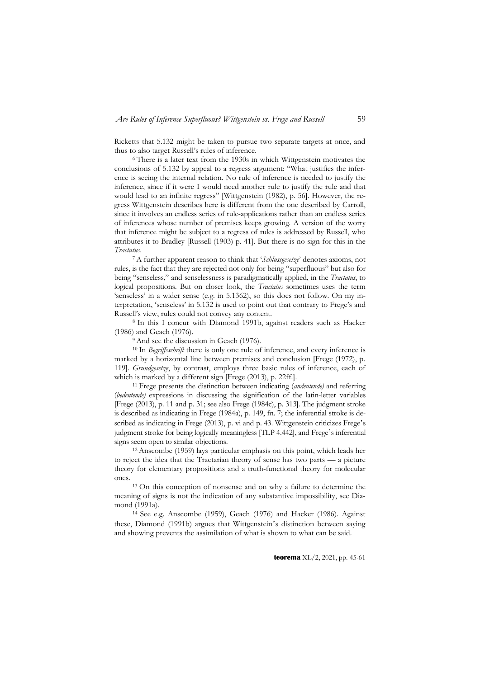Ricketts that 5.132 might be taken to pursue two separate targets at once, and thus to also target Russell's rules of inference.

<sup>6</sup> There is a later text from the 1930s in which Wittgenstein motivates the conclusions of 5.132 by appeal to a regress argument: "What justifies the inference is seeing the internal relation. No rule of inference is needed to justify the inference, since if it were I would need another rule to justify the rule and that would lead to an infinite regress" [Wittgenstein (1982), p. 56]. However, the regress Wittgenstein describes here is different from the one described by Carroll, since it involves an endless series of rule-applications rather than an endless series of inferences whose number of premises keeps growing. A version of the worry that inference might be subject to a regress of rules is addressed by Russell, who attributes it to Bradley [Russell (1903) p. 41]. But there is no sign for this in the *Tractatus*.

7A further apparent reason to think that '*Schlussgesetze*' denotes axioms, not rules, is the fact that they are rejected not only for being "superfluous" but also for being "senseless," and senselessness is paradigmatically applied, in the *Tractatus*, to logical propositions. But on closer look, the *Tractatus* sometimes uses the term 'senseless' in a wider sense (e.g. in 5.1362), so this does not follow. On my interpretation, 'senseless' in 5.132 is used to point out that contrary to Frege's and Russell's view, rules could not convey any content.

<sup>8</sup> In this I concur with Diamond 1991b, against readers such as Hacker (1986) and Geach (1976).

<sup>9</sup> And see the discussion in Geach (1976).

<sup>10</sup> In *Begriffsschrift* there is only one rule of inference, and every inference is marked by a horizontal line between premises and conclusion [Frege (1972), p. 119]. *Grundgesetze*, by contrast, employs three basic rules of inference, each of which is marked by a different sign [Frege (2013), p. 22ff.].

11 Frege presents the distinction between indicating (*andeutende)* and referring (*bedeutende)* expressions in discussing the signification of the latin-letter variables [Frege (2013), p. 11 and p. 31; see also Frege (1984c), p. 313]. The judgment stroke is described as indicating in Frege (1984a), p. 149, fn. 7; the inferential stroke is described as indicating in Frege (2013), p. vi and p. 43. Wittgenstein criticizes Frege 's judgment stroke for being logically meaningless [TLP 4.442], and Frege 's inferential signs seem open to similar objections.

<sup>12</sup> Anscombe (1959) lays particular emphasis on this point, which leads her to reject the idea that the Tractarian theory of sense has two parts — a picture theory for elementary propositions and a truth-functional theory for molecular ones.

<sup>13</sup> On this conception of nonsense and on why a failure to determine the meaning of signs is not the indication of any substantive impossibility, see Diamond (1991a).

14 See e.g. Anscombe (1959), Geach (1976) and Hacker (1986). Against these, Diamond (1991b) argues that Wittgenstein 's distinction between saying and showing prevents the assimilation of what is shown to what can be said.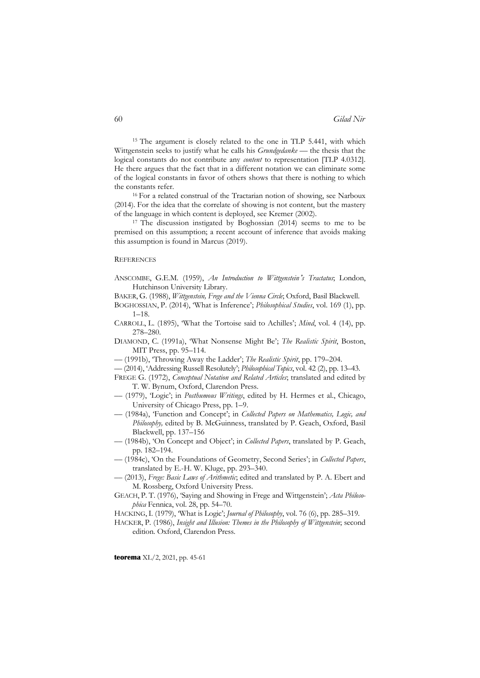<sup>15</sup> The argument is closely related to the one in TLP 5.441, with which Wittgenstein seeks to justify what he calls his *Grundgedanke* — the thesis that the logical constants do not contribute any *content* to representation [TLP 4.0312]. He there argues that the fact that in a different notation we can eliminate some of the logical constants in favor of others shows that there is nothing to which the constants refer.

<sup>16</sup> For a related construal of the Tractarian notion of showing, see Narboux (2014). For the idea that the correlate of showing is not content, but the mastery of the language in which content is deployed, see Kremer (2002).

<sup>17</sup> The discussion instigated by Boghossian (2014) seems to me to be premised on this assumption; a recent account of inference that avoids making this assumption is found in Marcus (2019).

#### **REFERENCES**

- ANSCOMBE, G.E.M. (1959), *An Introduction to Wittgenstein* '*s Tractatus*; London, Hutchinson University Library.
- BAKER, G. (1988), *Wittgenstein, Frege and the Vienna Circle*; Oxford, Basil Blackwell.
- BOGHOSSIAN, P. (2014), 'What is Inference'; *Philosophical Studies*, vol. 169 (1), pp. 1–18.
- CARROLL, L. (1895), 'What the Tortoise said to Achilles'; *Mind*, vol. 4 (14), pp. 278–280.
- DIAMOND, C. (1991a), 'What Nonsense Might Be'; *The Realistic Spirit*, Boston, MIT Press, pp. 95–114.
- –– (1991b), 'Throwing Away the Ladder'; *The Realistic Spirit*, pp. 179–204.
- –– (2014), 'Addressing Russell Resolutely'; *Philosophical Topics*, vol. 42 (2), pp. 13–43.
- FREGE G. (1972), *Conceptual Notation and Related Articles*; translated and edited by T. W. Bynum, Oxford, Clarendon Press.
- –– (1979), 'Logic'; in *Posthumous Writings*, edited by H. Hermes et al., Chicago, University of Chicago Press, pp. 1–9.
- –– (1984a), 'Function and Concept'; in *Collected Papers on Mathematics, Logic, and Philosophy,* edited by B. McGuinness, translated by P. Geach, Oxford, Basil Blackwell, pp. 137–156
- –– (1984b), 'On Concept and Object'; in *Collected Papers*, translated by P. Geach, pp. 182–194.
- –– (1984c), 'On the Foundations of Geometry, Second Series'; in *Collected Papers*, translated by E.-H. W. Kluge, pp. 293–340.
- –– (2013), *Frege: Basic Laws of Arithmetic*; edited and translated by P. A. Ebert and M. Rossberg, Oxford University Press.
- GEACH, P. T. (1976), 'Saying and Showing in Frege and Wittgenstein'; *Acta Philosophica* Fennica, vol. 28, pp. 54–70.
- HACKING, I. (1979), 'What is Logic'; *Journal of Philosophy*, vol. 76 (6), pp. 285–319.
- HACKER, P. (1986), *Insight and Illusion: Themes in the Philosophy of Wittgenstein*; second edition. Oxford, Clarendon Press.

**teorema** XL/2, 2021, pp. 45-61